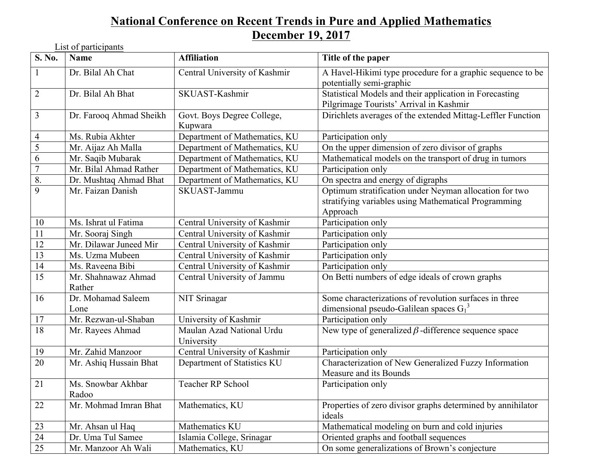## **National Conference on Recent Trends in Pure and Applied Mathematics December 19, 2017**

List of participants

| S. No.          | <b>Name</b>                   | <b>Affiliation</b>                      | Title of the paper                                                                                                         |
|-----------------|-------------------------------|-----------------------------------------|----------------------------------------------------------------------------------------------------------------------------|
| $\mathbf{1}$    | Dr. Bilal Ah Chat             | Central University of Kashmir           | A Havel-Hikimi type procedure for a graphic sequence to be<br>potentially semi-graphic                                     |
| 2               | Dr. Bilal Ah Bhat             | SKUAST-Kashmir                          | Statistical Models and their application in Forecasting<br>Pilgrimage Tourists' Arrival in Kashmir                         |
| $\overline{3}$  | Dr. Farooq Ahmad Sheikh       | Govt. Boys Degree College,<br>Kupwara   | Dirichlets averages of the extended Mittag-Leffler Function                                                                |
| $\overline{4}$  | Ms. Rubia Akhter              | Department of Mathematics, KU           | Participation only                                                                                                         |
| $\overline{5}$  | Mr. Aijaz Ah Malla            | Department of Mathematics, KU           | On the upper dimension of zero divisor of graphs                                                                           |
| 6               | Mr. Saqib Mubarak             | Department of Mathematics, KU           | Mathematical models on the transport of drug in tumors                                                                     |
| $\overline{7}$  | Mr. Bilal Ahmad Rather        | Department of Mathematics, KU           | Participation only                                                                                                         |
| 8.              | Dr. Mushtaq Ahmad Bhat        | Department of Mathematics, KU           | On spectra and energy of digraphs                                                                                          |
| 9               | Mr. Faizan Danish             | SKUAST-Jammu                            | Optimum stratification under Neyman allocation for two<br>stratifying variables using Mathematical Programming<br>Approach |
| 10              | Ms. Ishrat ul Fatima          | Central University of Kashmir           | Participation only                                                                                                         |
| 11              | Mr. Sooraj Singh              | Central University of Kashmir           | Participation only                                                                                                         |
| 12              | Mr. Dilawar Juneed Mir        | Central University of Kashmir           | Participation only                                                                                                         |
| 13              | Ms. Uzma Mubeen               | Central University of Kashmir           | Participation only                                                                                                         |
| 14              | Ms. Raveena Bibi              | Central University of Kashmir           | Participation only                                                                                                         |
| $\overline{15}$ | Mr. Shahnawaz Ahmad<br>Rather | Central University of Jammu             | On Betti numbers of edge ideals of crown graphs                                                                            |
| 16              | Dr. Mohamad Saleem<br>Lone    | NIT Srinagar                            | Some characterizations of revolution surfaces in three<br>dimensional pseudo-Galilean spaces $G_1^3$                       |
| 17              | Mr. Rezwan-ul-Shaban          | University of Kashmir                   | Participation only                                                                                                         |
| 18              | Mr. Rayees Ahmad              | Maulan Azad National Urdu<br>University | New type of generalized $\beta$ -difference sequence space                                                                 |
| 19              | Mr. Zahid Manzoor             | Central University of Kashmir           | Participation only                                                                                                         |
| 20              | Mr. Ashiq Hussain Bhat        | Department of Statistics KU             | Characterization of New Generalized Fuzzy Information<br>Measure and its Bounds                                            |
| 21              | Ms. Snowbar Akhbar<br>Radoo   | Teacher RP School                       | Participation only                                                                                                         |
| 22              | Mr. Mohmad Imran Bhat         | Mathematics, KU                         | Properties of zero divisor graphs determined by annihilator<br>ideals                                                      |
| 23              | Mr. Ahsan ul Haq              | Mathematics KU                          | Mathematical modeling on burn and cold injuries                                                                            |
| 24              | Dr. Uma Tul Samee             | Islamia College, Srinagar               | Oriented graphs and football sequences                                                                                     |
| $25\,$          | Mr. Manzoor Ah Wali           | Mathematics, KU                         | On some generalizations of Brown's conjecture                                                                              |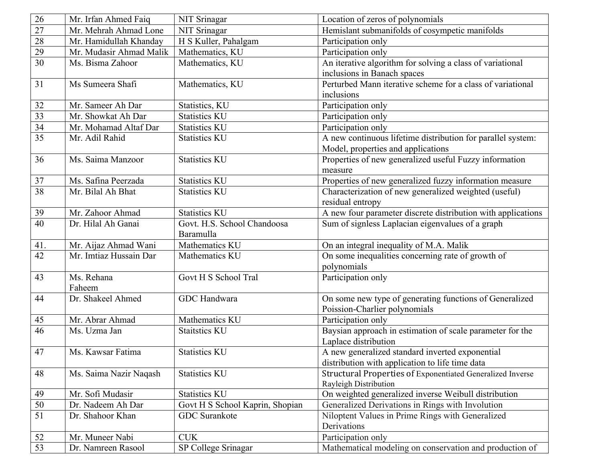| 26              | Mr. Irfan Ahmed Faiq    | NIT Srinagar                    | Location of zeros of polynomials                             |
|-----------------|-------------------------|---------------------------------|--------------------------------------------------------------|
| $\overline{27}$ | Mr. Mehrah Ahmad Lone   | NIT Srinagar                    | Hemislant submanifolds of cosympetic manifolds               |
| 28              | Mr. Hamidullah Khanday  | H S Kuller, Pahalgam            | Participation only                                           |
| 29              | Mr. Mudasir Ahmad Malik | Mathematics, KU                 | Participation only                                           |
| 30              | Ms. Bisma Zahoor        | Mathematics, KU                 | An iterative algorithm for solving a class of variational    |
|                 |                         |                                 | inclusions in Banach spaces                                  |
| 31              | Ms Sumeera Shafi        | Mathematics, KU                 | Perturbed Mann iterative scheme for a class of variational   |
|                 |                         |                                 | inclusions                                                   |
| 32              | Mr. Sameer Ah Dar       | Statistics, KU                  | Participation only                                           |
| $\overline{33}$ | Mr. Showkat Ah Dar      | <b>Statistics KU</b>            | Participation only                                           |
| 34              | Mr. Mohamad Altaf Dar   | <b>Statistics KU</b>            | Participation only                                           |
| $\overline{35}$ | Mr. Adil Rahid          | <b>Statistics KU</b>            | A new continuous lifetime distribution for parallel system:  |
|                 |                         |                                 | Model, properties and applications                           |
| 36              | Ms. Saima Manzoor       | <b>Statistics KU</b>            | Properties of new generalized useful Fuzzy information       |
|                 |                         |                                 | measure                                                      |
| 37              | Ms. Safina Peerzada     | <b>Statistics KU</b>            | Properties of new generalized fuzzy information measure      |
| 38              | Mr. Bilal Ah Bhat       | <b>Statistics KU</b>            | Characterization of new generalized weighted (useful)        |
|                 |                         |                                 | residual entropy                                             |
| 39              | Mr. Zahoor Ahmad        | <b>Statistics KU</b>            | A new four parameter discrete distribution with applications |
| $\overline{40}$ | Dr. Hilal Ah Ganai      | Govt. H.S. School Chandoosa     | Sum of signless Laplacian eigenvalues of a graph             |
|                 |                         | Baramulla                       |                                                              |
| 41.             | Mr. Aijaz Ahmad Wani    | Mathematics KU                  | On an integral inequality of M.A. Malik                      |
| $\overline{42}$ | Mr. Imtiaz Hussain Dar  | Mathematics KU                  | On some inequalities concerning rate of growth of            |
|                 |                         |                                 | polynomials                                                  |
| 43              | Ms. Rehana              | Govt H S School Tral            | Participation only                                           |
|                 | Faheem                  |                                 |                                                              |
| 44              | Dr. Shakeel Ahmed       | GDC Handwara                    | On some new type of generating functions of Generalized      |
|                 |                         |                                 | Poission-Charlier polynomials                                |
| 45              | Mr. Abrar Ahmad         | Mathematics KU                  | Participation only                                           |
| $\overline{46}$ | Ms. Uzma Jan            | <b>Staitstics KU</b>            | Baysian approach in estimation of scale parameter for the    |
|                 |                         |                                 | Laplace distribution                                         |
| 47              | Ms. Kawsar Fatima       | <b>Statistics KU</b>            | A new generalized standard inverted exponential              |
|                 |                         |                                 | distribution with application to life time data              |
| 48              | Ms. Saima Nazir Naqash  | <b>Statistics KU</b>            | Structural Properties of Exponentiated Generalized Inverse   |
|                 |                         |                                 | Rayleigh Distribution                                        |
| 49              | Mr. Sofi Mudasir        | <b>Statistics KU</b>            | On weighted generalized inverse Weibull distribution         |
| 50              | Dr. Nadeem Ah Dar       | Govt H S School Kaprin, Shopian | Generalized Derivations in Rings with Involution             |
| 51              | Dr. Shahoor Khan        | <b>GDC</b> Surankote            | Niloptent Values in Prime Rings with Generalized             |
|                 |                         |                                 | Derivations                                                  |
| 52              | Mr. Muneer Nabi         | <b>CUK</b>                      | Participation only                                           |
| 53              | Dr. Namreen Rasool      | SP College Srinagar             | Mathematical modeling on conservation and production of      |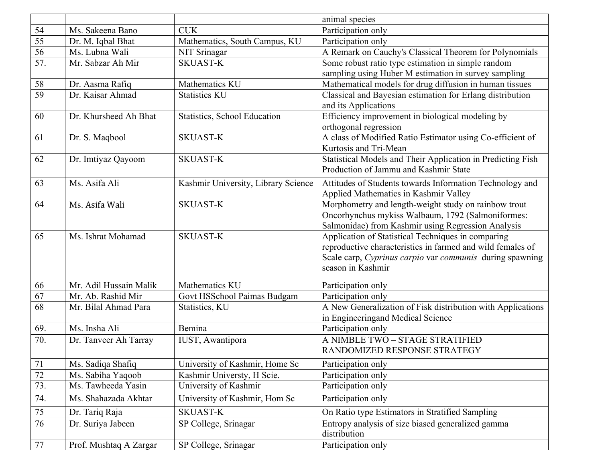|                 |                        |                                     | animal species                                              |
|-----------------|------------------------|-------------------------------------|-------------------------------------------------------------|
| 54              | Ms. Sakeena Bano       | <b>CUK</b>                          | Participation only                                          |
| 55              | Dr. M. Iqbal Bhat      | Mathematics, South Campus, KU       | Participation only                                          |
| 56              | Ms. Lubna Wali         | NIT Srinagar                        | A Remark on Cauchy's Classical Theorem for Polynomials      |
| 57.             | Mr. Sabzar Ah Mir      | <b>SKUAST-K</b>                     | Some robust ratio type estimation in simple random          |
|                 |                        |                                     | sampling using Huber M estimation in survey sampling        |
| 58              | Dr. Aasma Rafiq        | Mathematics KU                      | Mathematical models for drug diffusion in human tissues     |
| $\overline{59}$ | Dr. Kaisar Ahmad       | <b>Statistics KU</b>                | Classical and Bayesian estimation for Erlang distribution   |
|                 |                        |                                     | and its Applications                                        |
| 60              | Dr. Khursheed Ah Bhat  | Statistics, School Education        | Efficiency improvement in biological modeling by            |
|                 |                        |                                     | orthogonal regression                                       |
| 61              | Dr. S. Maqbool         | <b>SKUAST-K</b>                     | A class of Modified Ratio Estimator using Co-efficient of   |
|                 |                        |                                     | Kurtosis and Tri-Mean                                       |
| 62              | Dr. Imtiyaz Qayoom     | <b>SKUAST-K</b>                     | Statistical Models and Their Application in Predicting Fish |
|                 |                        |                                     | Production of Jammu and Kashmir State                       |
| 63              | Ms. Asifa Ali          | Kashmir University, Library Science | Attitudes of Students towards Information Technology and    |
|                 |                        |                                     | Applied Mathematics in Kashmir Valley                       |
| 64              | Ms. Asifa Wali         | <b>SKUAST-K</b>                     | Morphometry and length-weight study on rainbow trout        |
|                 |                        |                                     | Oncorhynchus mykiss Walbaum, 1792 (Salmoniformes:           |
|                 |                        |                                     | Salmonidae) from Kashmir using Regression Analysis          |
| 65              | Ms. Ishrat Mohamad     | <b>SKUAST-K</b>                     | Application of Statistical Techniques in comparing          |
|                 |                        |                                     | reproductive characteristics in farmed and wild females of  |
|                 |                        |                                     | Scale carp, Cyprinus carpio var communis during spawning    |
|                 |                        |                                     | season in Kashmir                                           |
| 66              | Mr. Adil Hussain Malik | Mathematics KU                      | Participation only                                          |
| 67              | Mr. Ab. Rashid Mir     | Govt HSSchool Paimas Budgam         | Participation only                                          |
| 68              | Mr. Bilal Ahmad Para   | Statistics, KU                      | A New Generalization of Fisk distribution with Applications |
|                 |                        |                                     | in Engineeringand Medical Science                           |
| 69.             | Ms. Insha Ali          | Bemina                              | Participation only                                          |
| 70.             | Dr. Tanveer Ah Tarray  | IUST, Awantipora                    | A NIMBLE TWO - STAGE STRATIFIED                             |
|                 |                        |                                     | RANDOMIZED RESPONSE STRATEGY                                |
| 71              | Ms. Sadiqa Shafiq      | University of Kashmir, Home Sc      | Participation only                                          |
| $72\,$          | Ms. Sabiha Yaqoob      | Kashmir Universty, H Scie.          | Participation only                                          |
| 73.             | Ms. Tawheeda Yasin     | University of Kashmir               | Participation only                                          |
| 74.             | Ms. Shahazada Akhtar   | University of Kashmir, Hom Sc       | Participation only                                          |
| $75\,$          | Dr. Tariq Raja         | <b>SKUAST-K</b>                     | On Ratio type Estimators in Stratified Sampling             |
| 76              | Dr. Suriya Jabeen      | SP College, Srinagar                | Entropy analysis of size biased generalized gamma           |
|                 |                        |                                     | distribution                                                |
| 77              | Prof. Mushtaq A Zargar | SP College, Srinagar                | Participation only                                          |